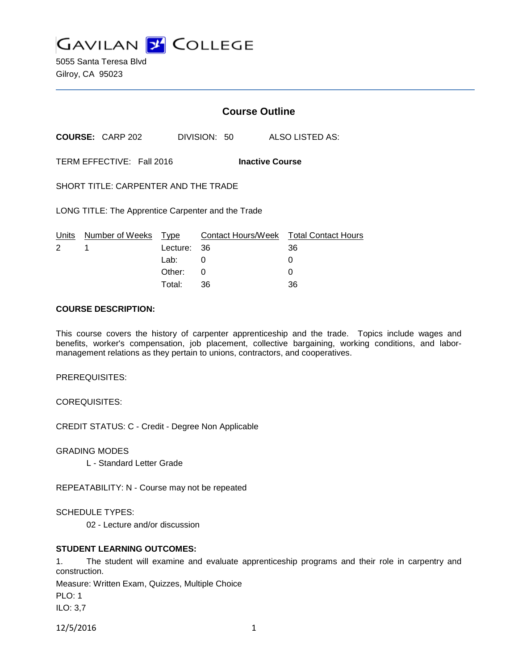**GAVILAN 2 COLLEGE** 

5055 Santa Teresa Blvd Gilroy, CA 95023

## **Course Outline**

**COURSE:** CARP 202 DIVISION: 50 ALSO LISTED AS:

TERM EFFECTIVE: Fall 2016 **Inactive Course**

SHORT TITLE: CARPENTER AND THE TRADE

LONG TITLE: The Apprentice Carpenter and the Trade

|             | Units Number of Weeks Type |             | Contact Hours/Week Total Contact Hours |    |
|-------------|----------------------------|-------------|----------------------------------------|----|
| $2 \quad 1$ |                            | Lecture: 36 |                                        | 36 |
|             |                            | Lab: _      |                                        |    |
|             |                            | Other: 0    |                                        |    |
|             |                            | Total:      | -36                                    | 36 |

#### **COURSE DESCRIPTION:**

This course covers the history of carpenter apprenticeship and the trade. Topics include wages and benefits, worker's compensation, job placement, collective bargaining, working conditions, and labormanagement relations as they pertain to unions, contractors, and cooperatives.

PREREQUISITES:

COREQUISITES:

CREDIT STATUS: C - Credit - Degree Non Applicable

GRADING MODES

L - Standard Letter Grade

REPEATABILITY: N - Course may not be repeated

SCHEDULE TYPES:

02 - Lecture and/or discussion

## **STUDENT LEARNING OUTCOMES:**

1. The student will examine and evaluate apprenticeship programs and their role in carpentry and construction.

Measure: Written Exam, Quizzes, Multiple Choice

PLO: 1

ILO: 3,7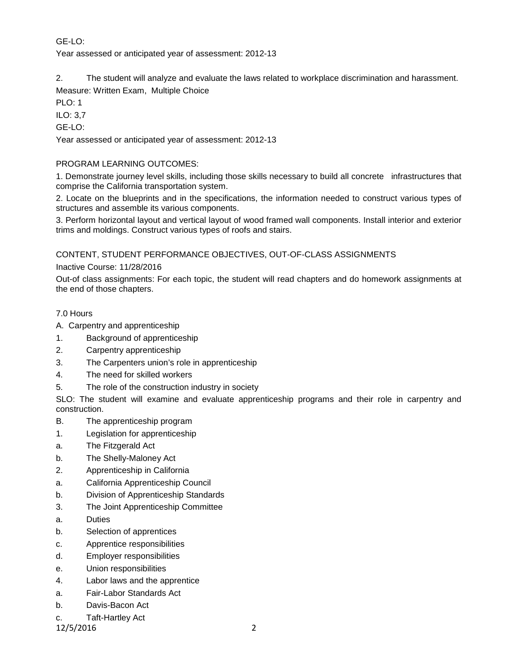# GE-LO:

Year assessed or anticipated year of assessment: 2012-13

2. The student will analyze and evaluate the laws related to workplace discrimination and harassment. Measure: Written Exam, Multiple Choice

PLO: 1

ILO: 3,7

GE-LO:

Year assessed or anticipated year of assessment: 2012-13

## PROGRAM LEARNING OUTCOMES:

1. Demonstrate journey level skills, including those skills necessary to build all concrete infrastructures that comprise the California transportation system.

2. Locate on the blueprints and in the specifications, the information needed to construct various types of structures and assemble its various components.

3. Perform horizontal layout and vertical layout of wood framed wall components. Install interior and exterior trims and moldings. Construct various types of roofs and stairs.

CONTENT, STUDENT PERFORMANCE OBJECTIVES, OUT-OF-CLASS ASSIGNMENTS

Inactive Course: 11/28/2016

Out-of class assignments: For each topic, the student will read chapters and do homework assignments at the end of those chapters.

#### 7.0 Hours

- A. Carpentry and apprenticeship
- 1. Background of apprenticeship
- 2. Carpentry apprenticeship
- 3. The Carpenters union's role in apprenticeship
- 4. The need for skilled workers
- 5. The role of the construction industry in society

SLO: The student will examine and evaluate apprenticeship programs and their role in carpentry and construction.

- B. The apprenticeship program
- 1. Legislation for apprenticeship
- a. The Fitzgerald Act
- b. The Shelly-Maloney Act
- 2. Apprenticeship in California
- a. California Apprenticeship Council
- b. Division of Apprenticeship Standards
- 3. The Joint Apprenticeship Committee
- a. Duties
- b. Selection of apprentices
- c. Apprentice responsibilities
- d. Employer responsibilities
- e. Union responsibilities
- 4. Labor laws and the apprentice
- a. Fair-Labor Standards Act
- b. Davis-Bacon Act
- c. Taft-Hartley Act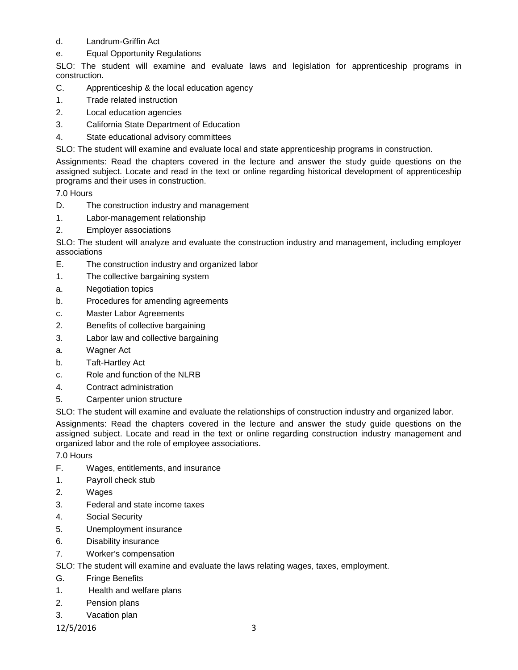## d. Landrum-Griffin Act

e. Equal Opportunity Regulations

SLO: The student will examine and evaluate laws and legislation for apprenticeship programs in construction.

- C. Apprenticeship & the local education agency
- 1. Trade related instruction
- 2. Local education agencies
- 3. California State Department of Education
- 4. State educational advisory committees
- SLO: The student will examine and evaluate local and state apprenticeship programs in construction.

Assignments: Read the chapters covered in the lecture and answer the study guide questions on the assigned subject. Locate and read in the text or online regarding historical development of apprenticeship programs and their uses in construction.

7.0 Hours

- D. The construction industry and management
- 1. Labor-management relationship
- 2. Employer associations

SLO: The student will analyze and evaluate the construction industry and management, including employer associations

- E. The construction industry and organized labor
- 1. The collective bargaining system
- a. Negotiation topics
- b. Procedures for amending agreements
- c. Master Labor Agreements
- 2. Benefits of collective bargaining
- 3. Labor law and collective bargaining
- a. Wagner Act
- b. Taft-Hartley Act
- c. Role and function of the NLRB
- 4. Contract administration
- 5. Carpenter union structure

SLO: The student will examine and evaluate the relationships of construction industry and organized labor.

Assignments: Read the chapters covered in the lecture and answer the study guide questions on the assigned subject. Locate and read in the text or online regarding construction industry management and organized labor and the role of employee associations.

7.0 Hours

- F. Wages, entitlements, and insurance
- 1. Payroll check stub
- 2. Wages
- 3. Federal and state income taxes
- 4. Social Security
- 5. Unemployment insurance
- 6. Disability insurance
- 7. Worker's compensation

SLO: The student will examine and evaluate the laws relating wages, taxes, employment.

- G. Fringe Benefits
- 1. Health and welfare plans
- 2. Pension plans
- 3. Vacation plan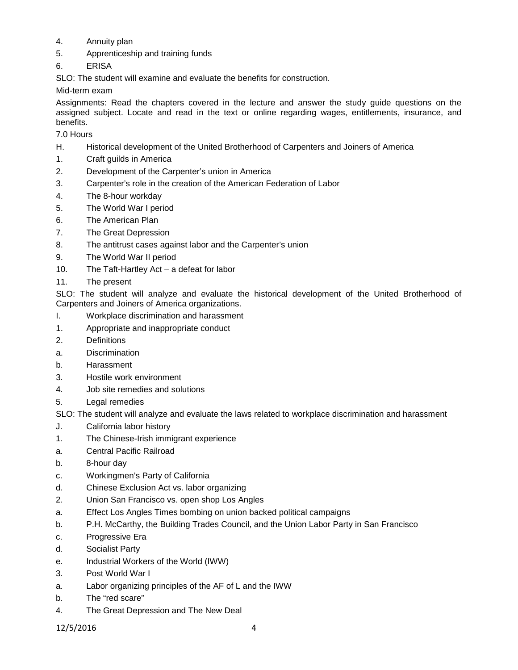- 4. Annuity plan
- 5. Apprenticeship and training funds
- 6. ERISA
- SLO: The student will examine and evaluate the benefits for construction.

Mid-term exam

Assignments: Read the chapters covered in the lecture and answer the study guide questions on the assigned subject. Locate and read in the text or online regarding wages, entitlements, insurance, and benefits.

7.0 Hours

- H. Historical development of the United Brotherhood of Carpenters and Joiners of America
- 1. Craft guilds in America
- 2. Development of the Carpenter's union in America
- 3. Carpenter's role in the creation of the American Federation of Labor
- 4. The 8-hour workday
- 5. The World War I period
- 6. The American Plan
- 7. The Great Depression
- 8. The antitrust cases against labor and the Carpenter's union
- 9. The World War II period
- 10. The Taft-Hartley Act a defeat for labor
- 11. The present

SLO: The student will analyze and evaluate the historical development of the United Brotherhood of Carpenters and Joiners of America organizations.

- I. Workplace discrimination and harassment
- 1. Appropriate and inappropriate conduct
- 2. Definitions
- a. Discrimination
- b. Harassment
- 3. Hostile work environment
- 4. Job site remedies and solutions
- 5. Legal remedies

SLO: The student will analyze and evaluate the laws related to workplace discrimination and harassment

- J. California labor history
- 1. The Chinese-Irish immigrant experience
- a. Central Pacific Railroad
- b. 8-hour day
- c. Workingmen's Party of California
- d. Chinese Exclusion Act vs. labor organizing
- 2. Union San Francisco vs. open shop Los Angles
- a. Effect Los Angles Times bombing on union backed political campaigns
- b. P.H. McCarthy, the Building Trades Council, and the Union Labor Party in San Francisco
- c. Progressive Era
- d. Socialist Party
- e. Industrial Workers of the World (IWW)
- 3. Post World War I
- a. Labor organizing principles of the AF of L and the IWW
- b. The "red scare"
- 4. The Great Depression and The New Deal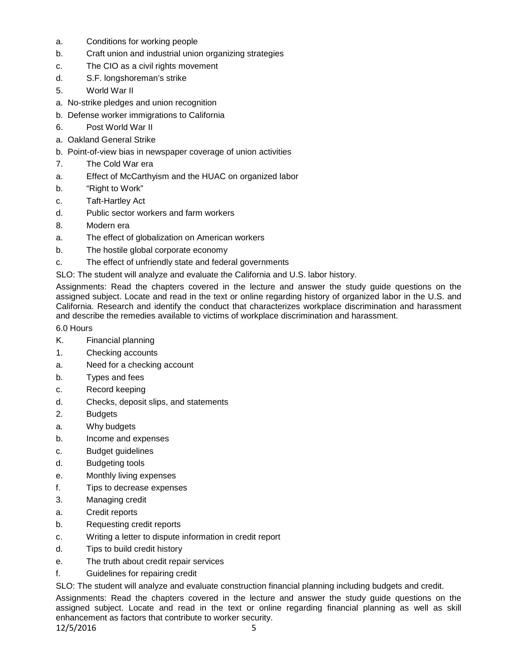- a. Conditions for working people
- b. Craft union and industrial union organizing strategies
- c. The CIO as a civil rights movement
- d. S.F. longshoreman's strike
- 5. World War II
- a. No-strike pledges and union recognition
- b. Defense worker immigrations to California
- 6. Post World War II
- a. Oakland General Strike
- b. Point-of-view bias in newspaper coverage of union activities
- 7. The Cold War era
- a. Effect of McCarthyism and the HUAC on organized labor
- b. "Right to Work"
- c. Taft-Hartley Act
- d. Public sector workers and farm workers
- 8. Modern era
- a. The effect of globalization on American workers
- b. The hostile global corporate economy
- c. The effect of unfriendly state and federal governments
- SLO: The student will analyze and evaluate the California and U.S. labor history.

Assignments: Read the chapters covered in the lecture and answer the study guide questions on the assigned subject. Locate and read in the text or online regarding history of organized labor in the U.S. and California. Research and identify the conduct that characterizes workplace discrimination and harassment and describe the remedies available to victims of workplace discrimination and harassment.

6.0 Hours

- K. Financial planning
- 1. Checking accounts
- a. Need for a checking account
- b. Types and fees
- c. Record keeping
- d. Checks, deposit slips, and statements
- 2. Budgets
- a. Why budgets
- b. Income and expenses
- c. Budget guidelines
- d. Budgeting tools
- e. Monthly living expenses
- f. Tips to decrease expenses
- 3. Managing credit
- a. Credit reports
- b. Requesting credit reports
- c. Writing a letter to dispute information in credit report
- d. Tips to build credit history
- e. The truth about credit repair services
- f. Guidelines for repairing credit

SLO: The student will analyze and evaluate construction financial planning including budgets and credit.

Assignments: Read the chapters covered in the lecture and answer the study guide questions on the assigned subject. Locate and read in the text or online regarding financial planning as well as skill enhancement as factors that contribute to worker security.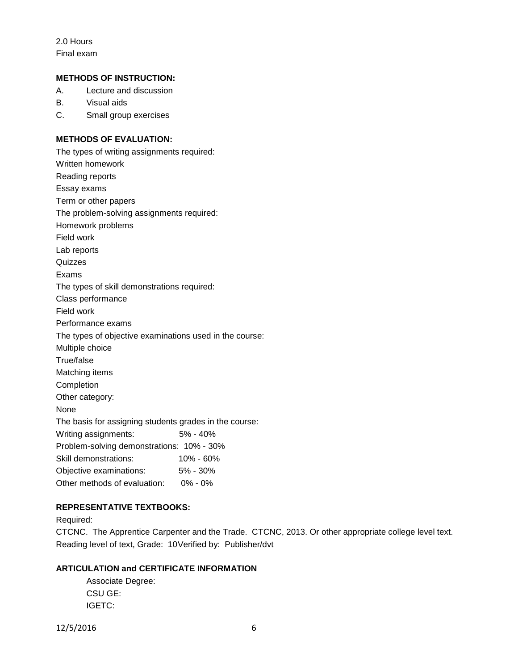2.0 Hours Final exam

#### **METHODS OF INSTRUCTION:**

A. Lecture and discussion

B. Visual aids

C. Small group exercises

## **METHODS OF EVALUATION:**

The types of writing assignments required: Written homework Reading reports Essay exams Term or other papers The problem-solving assignments required: Homework problems Field work Lab reports **Quizzes** Exams The types of skill demonstrations required: Class performance Field work Performance exams The types of objective examinations used in the course: Multiple choice True/false Matching items Completion Other category: None The basis for assigning students grades in the course: Writing assignments: 5% - 40% Problem-solving demonstrations: 10% - 30% Skill demonstrations: 10% - 60% Objective examinations: 5% - 30% Other methods of evaluation: 0% - 0%

## **REPRESENTATIVE TEXTBOOKS:**

Required:

CTCNC. The Apprentice Carpenter and the Trade. CTCNC, 2013. Or other appropriate college level text. Reading level of text, Grade: 10Verified by: Publisher/dvt

## **ARTICULATION and CERTIFICATE INFORMATION**

Associate Degree: CSU GE: IGETC: